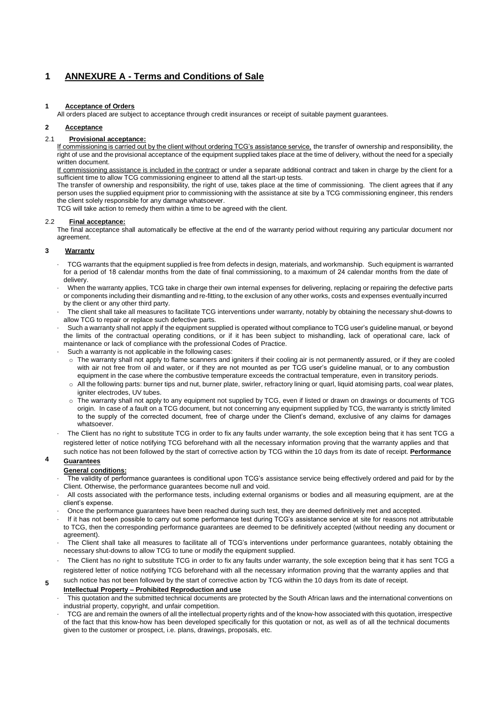# **1 ANNEXURE A - Terms and Conditions of Sale**

### **1 Acceptance of Orders**

All orders placed are subject to acceptance through credit insurances or receipt of suitable payment guarantees.

## **2 Acceptance**

# 2.1 **Provisional acceptance:**

If commissioning is carried out by the client without ordering TCG's assistance service, the transfer of ownership and responsibility, the right of use and the provisional acceptance of the equipment supplied takes place at the time of delivery, without the need for a specially written document.

If commissioning assistance is included in the contract or under a separate additional contract and taken in charge by the client for a sufficient time to allow TCG commissioning engineer to attend all the start-up tests.

The transfer of ownership and responsibility, the right of use, takes place at the time of commissioning. The client agrees that if any person uses the supplied equipment prior to commissioning with the assistance at site by a TCG commissioning engineer, this renders the client solely responsible for any damage whatsoever.

TCG will take action to remedy them within a time to be agreed with the client.

### 2.2 **Final acceptance:**

The final acceptance shall automatically be effective at the end of the warranty period without requiring any particular document nor agreement.

# **3 Warranty**

- · TCG warrants that the equipment supplied is free from defects in design, materials, and workmanship. Such equipment is warranted for a period of 18 calendar months from the date of final commissioning, to a maximum of 24 calendar months from the date of delivery.
- · When the warranty applies, TCG take in charge their own internal expenses for delivering, replacing or repairing the defective parts or components including their dismantling and re-fitting, to the exclusion of any other works, costs and expenses eventually incurred by the client or any other third party.
- · The client shall take all measures to facilitate TCG interventions under warranty, notably by obtaining the necessary shut-downs to allow TCG to repair or replace such defective parts.
- Such a warranty shall not apply if the equipment supplied is operated without compliance to TCG user's guideline manual, or beyond the limits of the contractual operating conditions, or if it has been subject to mishandling, lack of operational care, lack of maintenance or lack of compliance with the professional Codes of Practice.
- Such a warranty is not applicable in the following cases:
	- o The warranty shall not apply to flame scanners and igniters if their cooling air is not permanently assured, or if they are cooled with air not free from oil and water, or if they are not mounted as per TCG user's guideline manual, or to any combustion equipment in the case where the combustive temperature exceeds the contractual temperature, even in transitory periods.
	- o All the following parts: burner tips and nut, burner plate, swirler, refractory lining or quarl, liquid atomising parts, coal wear plates, igniter electrodes, UV tubes.
	- The warranty shall not apply to any equipment not supplied by TCG, even if listed or drawn on drawings or documents of TCG origin. In case of a fault on a TCG document, but not concerning any equipment supplied by TCG, the warranty is strictly limited to the supply of the corrected document, free of charge under the Client's demand, exclusive of any claims for damages whatsoever.
- · The Client has no right to substitute TCG in order to fix any faults under warranty, the sole exception being that it has sent TCG a registered letter of notice notifying TCG beforehand with all the necessary information proving that the warranty applies and that such notice has not been followed by the start of corrective action by TCG within the 10 days from its date of receipt. **Performance**

#### **4 Guarantees**

**5**

# **General conditions:**

- The validity of performance guarantees is conditional upon TCG's assistance service being effectively ordered and paid for by the Client. Otherwise, the performance guarantees become null and void.
- · All costs associated with the performance tests, including external organisms or bodies and all measuring equipment, are at the client's expense.
- · Once the performance guarantees have been reached during such test, they are deemed definitively met and accepted.
- · If it has not been possible to carry out some performance test during TCG's assistance service at site for reasons not attributable to TCG, then the corresponding performance guarantees are deemed to be definitively accepted (without needing any document or agreement).
- · The Client shall take all measures to facilitate all of TCG's interventions under performance guarantees, notably obtaining the necessary shut-downs to allow TCG to tune or modify the equipment supplied.
- The Client has no right to substitute TCG in order to fix any faults under warranty, the sole exception being that it has sent TCG a registered letter of notice notifying TCG beforehand with all the necessary information proving that the warranty applies and that

such notice has not been followed by the start of corrective action by TCG within the 10 days from its date of receipt.

# **Intellectual Property – Prohibited Reproduction and use**

- This quotation and the submitted technical documents are protected by the South African laws and the international conventions on industrial property, copyright, and unfair competition.
- TCG are and remain the owners of all the intellectual property rights and of the know-how associated with this quotation, irrespective of the fact that this know-how has been developed specifically for this quotation or not, as well as of all the technical documents given to the customer or prospect, i.e. plans, drawings, proposals, etc.